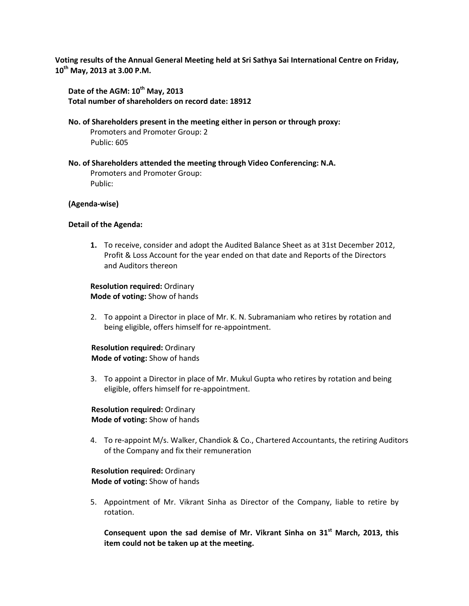**Voting results of the Annual General Meeting held at Sri Sathya Sai International Centre on Friday, 10th May, 2013 at 3.00 P.M.**

Date of the AGM:  $10^{th}$  May, 2013 **Total number of shareholders on record date: 18912**

**No. of Shareholders present in the meeting either in person or through proxy:**

Promoters and Promoter Group: 2 Public: 605

**No. of Shareholders attended the meeting through Video Conferencing: N.A.**

Promoters and Promoter Group: Public:

## **(Agenda-wise)**

## **Detail of the Agenda:**

**1.** To receive, consider and adopt the Audited Balance Sheet as at 31st December 2012, Profit & Loss Account for the year ended on that date and Reports of the Directors and Auditors thereon

**Resolution required:** Ordinary **Mode of voting:** Show of hands

2. To appoint a Director in place of Mr. K. N. Subramaniam who retires by rotation and being eligible, offers himself for re-appointment.

# **Resolution required:** Ordinary  **Mode of voting:** Show of hands

3. To appoint a Director in place of Mr. Mukul Gupta who retires by rotation and being eligible, offers himself for re-appointment.

## **Resolution required:** Ordinary  **Mode of voting:** Show of hands

4. To re-appoint M/s. Walker, Chandiok & Co., Chartered Accountants, the retiring Auditors of the Company and fix their remuneration

# **Resolution required:** Ordinary  **Mode of voting:** Show of hands

5. Appointment of Mr. Vikrant Sinha as Director of the Company, liable to retire by rotation.

**Consequent upon the sad demise of Mr. Vikrant Sinha on 31st March, 2013, this item could not be taken up at the meeting.**